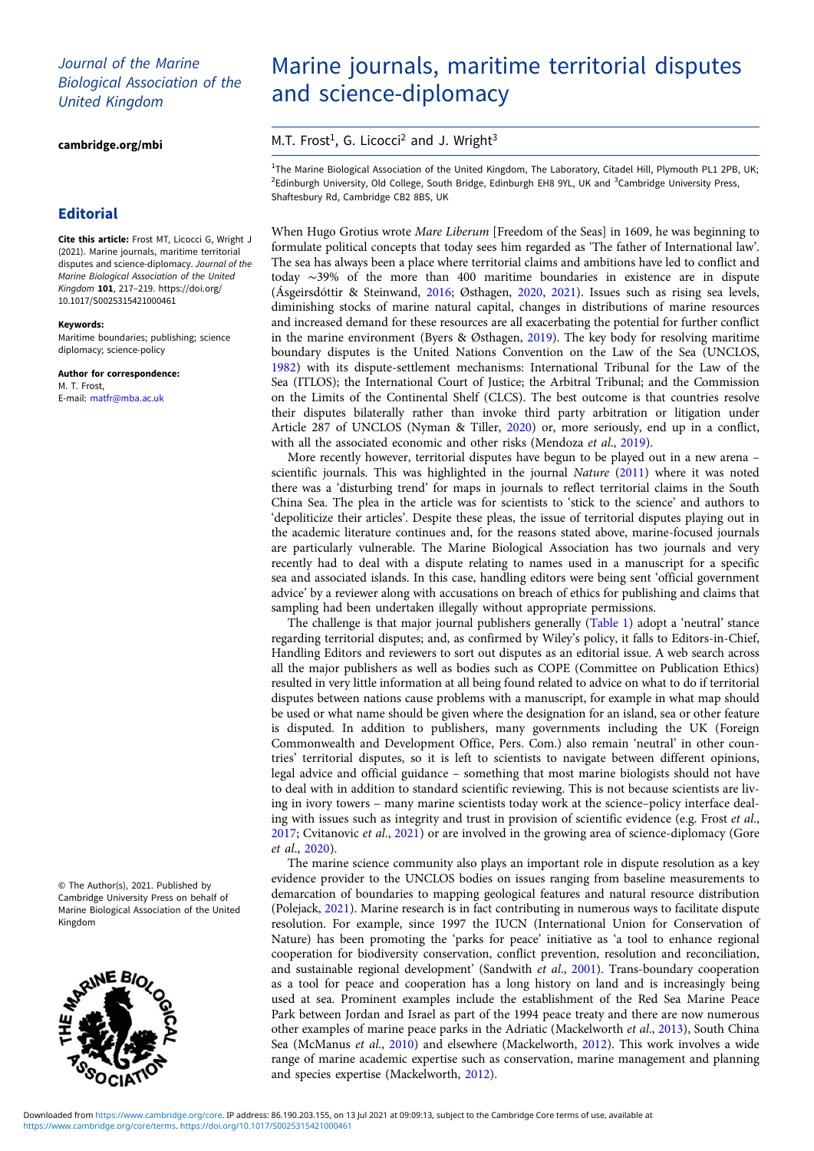## Journal of the Marine Biological Association of the United Kingdom

[cambridge.org/mbi](https://www.cambridge.org/mbi)

## **Editorial**

Cite this article: Frost MT, Licocci G, Wright J (2021). Marine journals, maritime territorial disputes and science-diplomacy. Journal of the Marine Biological Association of the United Kingdom 101, 217–219. [https://doi.org/](https://doi.org/10.1017/S0025315421000461) [10.1017/S0025315421000461](https://doi.org/10.1017/S0025315421000461)

#### Keywords:

Maritime boundaries; publishing; science diplomacy; science-policy

Author for correspondence: M. T. Frost, E-mail: [matfr@mba.ac.uk](mailto:matfr@mba.ac.uk)

© The Author(s), 2021. Published by Cambridge University Press on behalf of Marine Biological Association of the United Kingdom



# Marine journals, maritime territorial disputes and science-diplomacy

M.T. Frost<sup>1</sup>, G. Licocci<sup>2</sup> and J. Wright<sup>3</sup>

<sup>1</sup>The Marine Biological Association of the United Kingdom, The Laboratory, Citadel Hill, Plymouth PL1 2PB, UK; <sup>2</sup>Edinburgh University, Old College, South Bridge, Edinburgh EH8 9YL, UK and <sup>3</sup>Cambridge University Press, Shaftesbury Rd, Cambridge CB2 8BS, UK

When Hugo Grotius wrote Mare Liberum [Freedom of the Seas] in 1609, he was beginning to formulate political concepts that today sees him regarded as 'The father of International law'. The sea has always been a place where territorial claims and ambitions have led to conflict and today ∼39% of the more than 400 maritime boundaries in existence are in dispute (Ásgeirsdóttir & Steinwand, [2016](#page-1-0); Østhagen, [2020](#page-2-0), [2021\)](#page-2-0). Issues such as rising sea levels, diminishing stocks of marine natural capital, changes in distributions of marine resources and increased demand for these resources are all exacerbating the potential for further conflict in the marine environment (Byers & Østhagen, [2019](#page-1-0)). The key body for resolving maritime boundary disputes is the United Nations Convention on the Law of the Sea (UNCLOS, [1982\)](#page-2-0) with its dispute-settlement mechanisms: International Tribunal for the Law of the Sea (ITLOS); the International Court of Justice; the Arbitral Tribunal; and the Commission on the Limits of the Continental Shelf (CLCS). The best outcome is that countries resolve their disputes bilaterally rather than invoke third party arbitration or litigation under Article 287 of UNCLOS (Nyman & Tiller, [2020](#page-2-0)) or, more seriously, end up in a conflict, with all the associated economic and other risks (Mendoza et al., [2019](#page-2-0)).

More recently however, territorial disputes have begun to be played out in a new arena – scientific journals. This was highlighted in the journal Nature [\(2011\)](#page-2-0) where it was noted there was a 'disturbing trend' for maps in journals to reflect territorial claims in the South China Sea. The plea in the article was for scientists to 'stick to the science' and authors to 'depoliticize their articles'. Despite these pleas, the issue of territorial disputes playing out in the academic literature continues and, for the reasons stated above, marine-focused journals are particularly vulnerable. The Marine Biological Association has two journals and very recently had to deal with a dispute relating to names used in a manuscript for a specific sea and associated islands. In this case, handling editors were being sent 'official government advice' by a reviewer along with accusations on breach of ethics for publishing and claims that sampling had been undertaken illegally without appropriate permissions.

The challenge is that major journal publishers generally [\(Table 1](#page-1-0)) adopt a 'neutral' stance regarding territorial disputes; and, as confirmed by Wiley's policy, it falls to Editors-in-Chief, Handling Editors and reviewers to sort out disputes as an editorial issue. A web search across all the major publishers as well as bodies such as COPE (Committee on Publication Ethics) resulted in very little information at all being found related to advice on what to do if territorial disputes between nations cause problems with a manuscript, for example in what map should be used or what name should be given where the designation for an island, sea or other feature is disputed. In addition to publishers, many governments including the UK (Foreign Commonwealth and Development Office, Pers. Com.) also remain 'neutral' in other countries' territorial disputes, so it is left to scientists to navigate between different opinions, legal advice and official guidance – something that most marine biologists should not have to deal with in addition to standard scientific reviewing. This is not because scientists are living in ivory towers – many marine scientists today work at the science–policy interface dealing with issues such as integrity and trust in provision of scientific evidence (e.g. Frost et al.,  $2017$ ; Cvitanovic *et al.*,  $2021$ ) or are involved in the growing area of science-diplomacy (Gore et al., [2020](#page-2-0)).

The marine science community also plays an important role in dispute resolution as a key evidence provider to the UNCLOS bodies on issues ranging from baseline measurements to demarcation of boundaries to mapping geological features and natural resource distribution (Polejack, [2021\)](#page-2-0). Marine research is in fact contributing in numerous ways to facilitate dispute resolution. For example, since 1997 the IUCN (International Union for Conservation of Nature) has been promoting the 'parks for peace' initiative as 'a tool to enhance regional cooperation for biodiversity conservation, conflict prevention, resolution and reconciliation, and sustainable regional development' (Sandwith et al., [2001](#page-2-0)). Trans-boundary cooperation as a tool for peace and cooperation has a long history on land and is increasingly being used at sea. Prominent examples include the establishment of the Red Sea Marine Peace Park between Jordan and Israel as part of the 1994 peace treaty and there are now numerous other examples of marine peace parks in the Adriatic (Mackelworth et al., [2013\)](#page-2-0), South China Sea (McManus et al., [2010\)](#page-2-0) and elsewhere (Mackelworth, [2012](#page-2-0)). This work involves a wide range of marine academic expertise such as conservation, marine management and planning and species expertise (Mackelworth, [2012](#page-2-0)).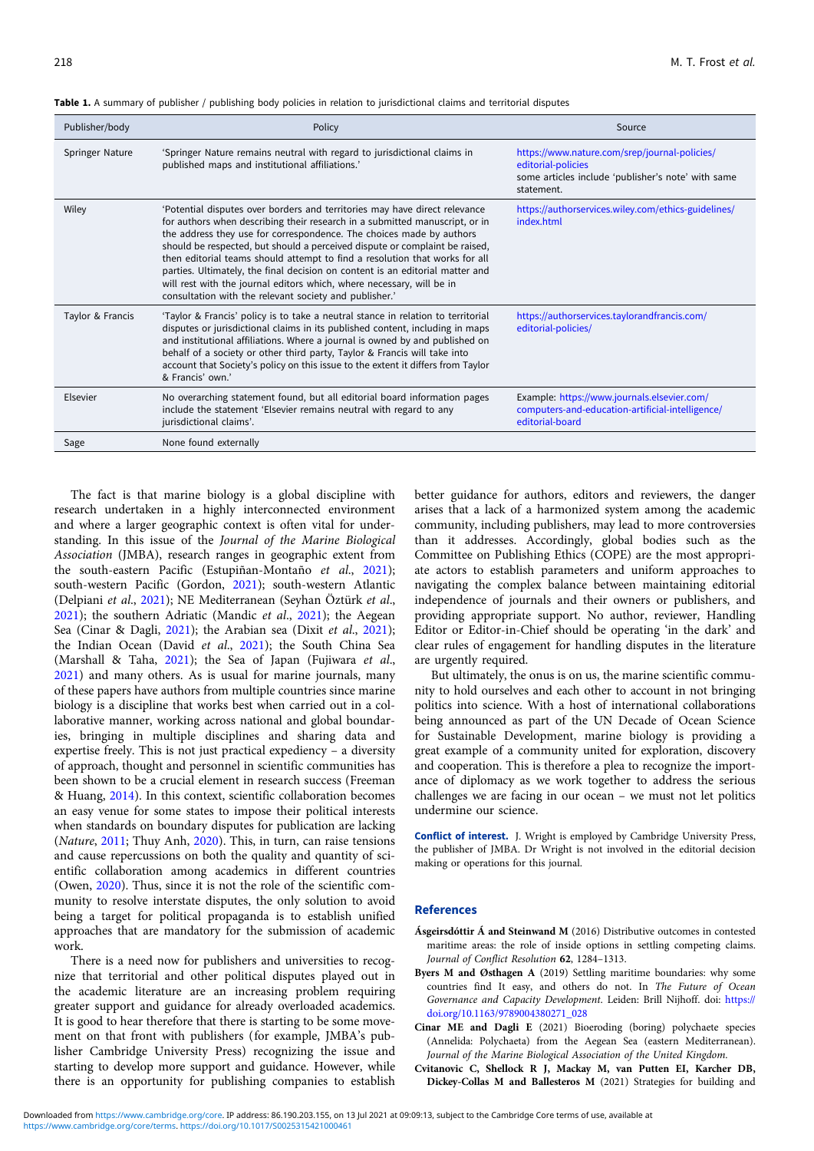| Publisher/body   | Policy                                                                                                                                                                                                                                                                                                                                                                                                                                                                                                                                                                                                              | Source                                                                                                                                  |
|------------------|---------------------------------------------------------------------------------------------------------------------------------------------------------------------------------------------------------------------------------------------------------------------------------------------------------------------------------------------------------------------------------------------------------------------------------------------------------------------------------------------------------------------------------------------------------------------------------------------------------------------|-----------------------------------------------------------------------------------------------------------------------------------------|
| Springer Nature  | 'Springer Nature remains neutral with regard to jurisdictional claims in<br>published maps and institutional affiliations.'                                                                                                                                                                                                                                                                                                                                                                                                                                                                                         | https://www.nature.com/srep/journal-policies/<br>editorial-policies<br>some articles include 'publisher's note' with same<br>statement. |
| Wiley            | 'Potential disputes over borders and territories may have direct relevance<br>for authors when describing their research in a submitted manuscript, or in<br>the address they use for correspondence. The choices made by authors<br>should be respected, but should a perceived dispute or complaint be raised,<br>then editorial teams should attempt to find a resolution that works for all<br>parties. Ultimately, the final decision on content is an editorial matter and<br>will rest with the journal editors which, where necessary, will be in<br>consultation with the relevant society and publisher.' | https://authorservices.wiley.com/ethics-guidelines/<br>index.html                                                                       |
| Taylor & Francis | 'Taylor & Francis' policy is to take a neutral stance in relation to territorial<br>disputes or jurisdictional claims in its published content, including in maps<br>and institutional affiliations. Where a journal is owned by and published on<br>behalf of a society or other third party, Taylor & Francis will take into<br>account that Society's policy on this issue to the extent it differs from Taylor<br>& Francis' own.'                                                                                                                                                                              | https://authorservices.taylorandfrancis.com/<br>editorial-policies/                                                                     |
| Elsevier         | No overarching statement found, but all editorial board information pages<br>include the statement 'Elsevier remains neutral with regard to any<br>jurisdictional claims'.                                                                                                                                                                                                                                                                                                                                                                                                                                          | Example: https://www.journals.elsevier.com/<br>computers-and-education-artificial-intelligence/<br>editorial-board                      |
| Sage             | None found externally                                                                                                                                                                                                                                                                                                                                                                                                                                                                                                                                                                                               |                                                                                                                                         |

<span id="page-1-0"></span>Table 1. A summary of publisher / publishing body policies in relation to jurisdictional claims and territorial disputes

The fact is that marine biology is a global discipline with research undertaken in a highly interconnected environment and where a larger geographic context is often vital for understanding. In this issue of the Journal of the Marine Biological Association (JMBA), research ranges in geographic extent from the south-eastern Pacific (Estupiñan-Montaño et al., [2021\)](#page-2-0); south-western Pacific (Gordon, [2021\)](#page-2-0); south-western Atlantic (Delpiani et al., [2021](#page-2-0)); NE Mediterranean (Seyhan Öztürk et al., [2021\)](#page-2-0); the southern Adriatic (Mandic et al., [2021\)](#page-2-0); the Aegean Sea (Cinar & Dagli, [2021\)](#page-2-0); the Arabian sea (Dixit et al., 2021); the Indian Ocean (David et al., [2021\)](#page-2-0); the South China Sea (Marshall & Taha, [2021\)](#page-2-0); the Sea of Japan (Fujiwara et al., [2021\)](#page-2-0) and many others. As is usual for marine journals, many of these papers have authors from multiple countries since marine biology is a discipline that works best when carried out in a collaborative manner, working across national and global boundaries, bringing in multiple disciplines and sharing data and expertise freely. This is not just practical expediency – a diversity of approach, thought and personnel in scientific communities has been shown to be a crucial element in research success (Freeman & Huang, [2014](#page-2-0)). In this context, scientific collaboration becomes an easy venue for some states to impose their political interests when standards on boundary disputes for publication are lacking (Nature, [2011](#page-2-0); Thuy Anh, [2020\)](#page-2-0). This, in turn, can raise tensions and cause repercussions on both the quality and quantity of scientific collaboration among academics in different countries (Owen, [2020\)](#page-2-0). Thus, since it is not the role of the scientific community to resolve interstate disputes, the only solution to avoid being a target for political propaganda is to establish unified approaches that are mandatory for the submission of academic work.

There is a need now for publishers and universities to recognize that territorial and other political disputes played out in the academic literature are an increasing problem requiring greater support and guidance for already overloaded academics. It is good to hear therefore that there is starting to be some movement on that front with publishers (for example, JMBA's publisher Cambridge University Press) recognizing the issue and starting to develop more support and guidance. However, while there is an opportunity for publishing companies to establish

better guidance for authors, editors and reviewers, the danger arises that a lack of a harmonized system among the academic community, including publishers, may lead to more controversies than it addresses. Accordingly, global bodies such as the Committee on Publishing Ethics (COPE) are the most appropriate actors to establish parameters and uniform approaches to navigating the complex balance between maintaining editorial independence of journals and their owners or publishers, and providing appropriate support. No author, reviewer, Handling Editor or Editor-in-Chief should be operating 'in the dark' and clear rules of engagement for handling disputes in the literature are urgently required.

But ultimately, the onus is on us, the marine scientific community to hold ourselves and each other to account in not bringing politics into science. With a host of international collaborations being announced as part of the UN Decade of Ocean Science for Sustainable Development, marine biology is providing a great example of a community united for exploration, discovery and cooperation. This is therefore a plea to recognize the importance of diplomacy as we work together to address the serious challenges we are facing in our ocean – we must not let politics undermine our science.

Conflict of interest. J. Wright is employed by Cambridge University Press, the publisher of JMBA. Dr Wright is not involved in the editorial decision making or operations for this journal.

### References

- Ásgeirsdóttir Á and Steinwand M (2016) Distributive outcomes in contested maritime areas: the role of inside options in settling competing claims. Journal of Conflict Resolution 62, 1284–1313.
- Byers M and Østhagen A (2019) Settling maritime boundaries: why some countries find It easy, and others do not. In The Future of Ocean Governance and Capacity Development. Leiden: Brill Nijhoff. doi: [https://](https://doi.org/10.1163/9789004380271_028) [doi.org/10.1163/9789004380271\\_028](https://doi.org/10.1163/9789004380271_028)
- Cinar ME and Dagli E (2021) Bioeroding (boring) polychaete species (Annelida: Polychaeta) from the Aegean Sea (eastern Mediterranean). Journal of the Marine Biological Association of the United Kingdom.
- Cvitanovic C, Shellock R J, Mackay M, van Putten EI, Karcher DB, Dickey-Collas M and Ballesteros M (2021) Strategies for building and